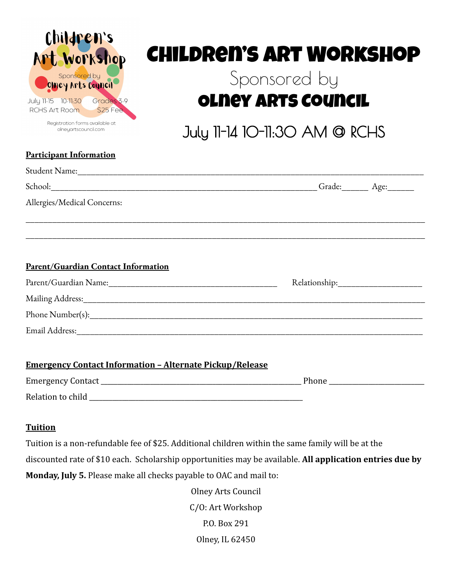

Registration forms available at olneyartscouncil.com

# Children's Art Workshop

## Sponsored by Olney Arts Council

July 11-14 10-11:30 AM @ RCHS

### **Tuition**

Tuition is a non-refundable fee of \$25. Additional children within the same family will be at the discounted rate of \$10 each. Scholarship opportunities may be available. **All application entries due by Monday, July 5.** Please make all checks payable to OAC and mail to:

> Olney Arts Council C/O: Art Workshop P.O. Box 291 Olney, IL 62450